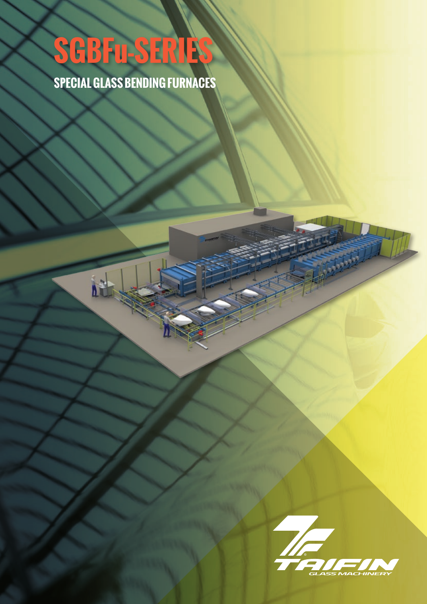## **SGBFu-SERIES**

N

**SPECIAL GLASS BENDING FURNACES**